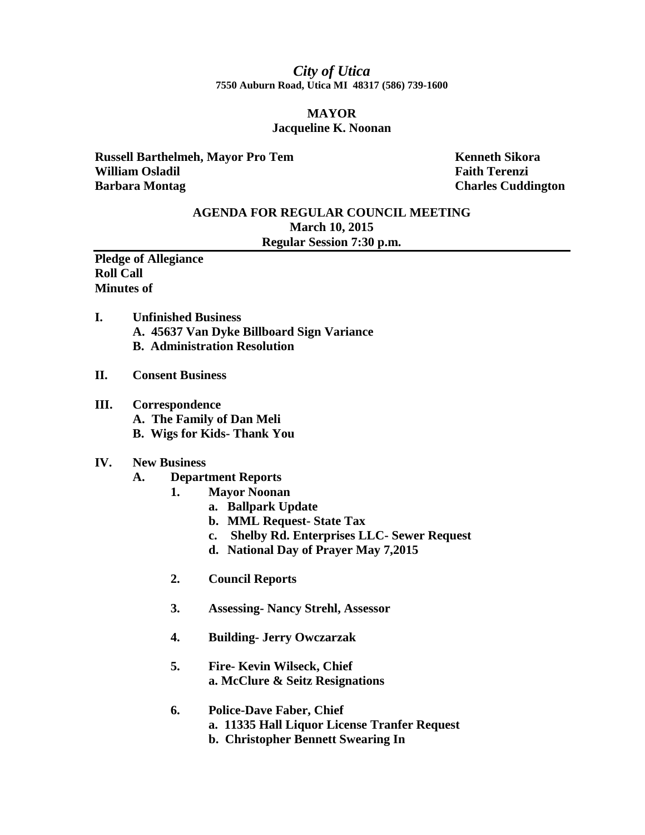## *City of Utica* **7550 Auburn Road, Utica MI 48317 (586) 739-1600**

## **MAYOR Jacqueline K. Noonan**

**Russell Barthelmeh, Mayor Pro Tem Kenneth Sikora William Osladil Faith Terenzi Barbara Montag Charles Cuddington** 

# **AGENDA FOR REGULAR COUNCIL MEETING March 10, 2015 Regular Session 7:30 p.m.**

**Pledge of Allegiance Roll Call Minutes of** 

- **I. Unfinished Business A. 45637 Van Dyke Billboard Sign Variance B. Administration Resolution**
- **II. Consent Business**
- **III. Correspondence**
	- **A. The Family of Dan Meli**
	- **B. Wigs for Kids- Thank You**

#### **IV. New Business**

- **A. Department Reports**
	- **1. Mayor Noonan**
		- **a. Ballpark Update**
		- **b. MML Request- State Tax**
		- **c. Shelby Rd. Enterprises LLC- Sewer Request**
		- **d. National Day of Prayer May 7,2015**
	- **2. Council Reports**
	- **3. Assessing- Nancy Strehl, Assessor**
	- **4. Building- Jerry Owczarzak**
	- **5. Fire- Kevin Wilseck, Chief a. McClure & Seitz Resignations**

## **6. Police-Dave Faber, Chief a. 11335 Hall Liquor License Tranfer Request b. Christopher Bennett Swearing In**